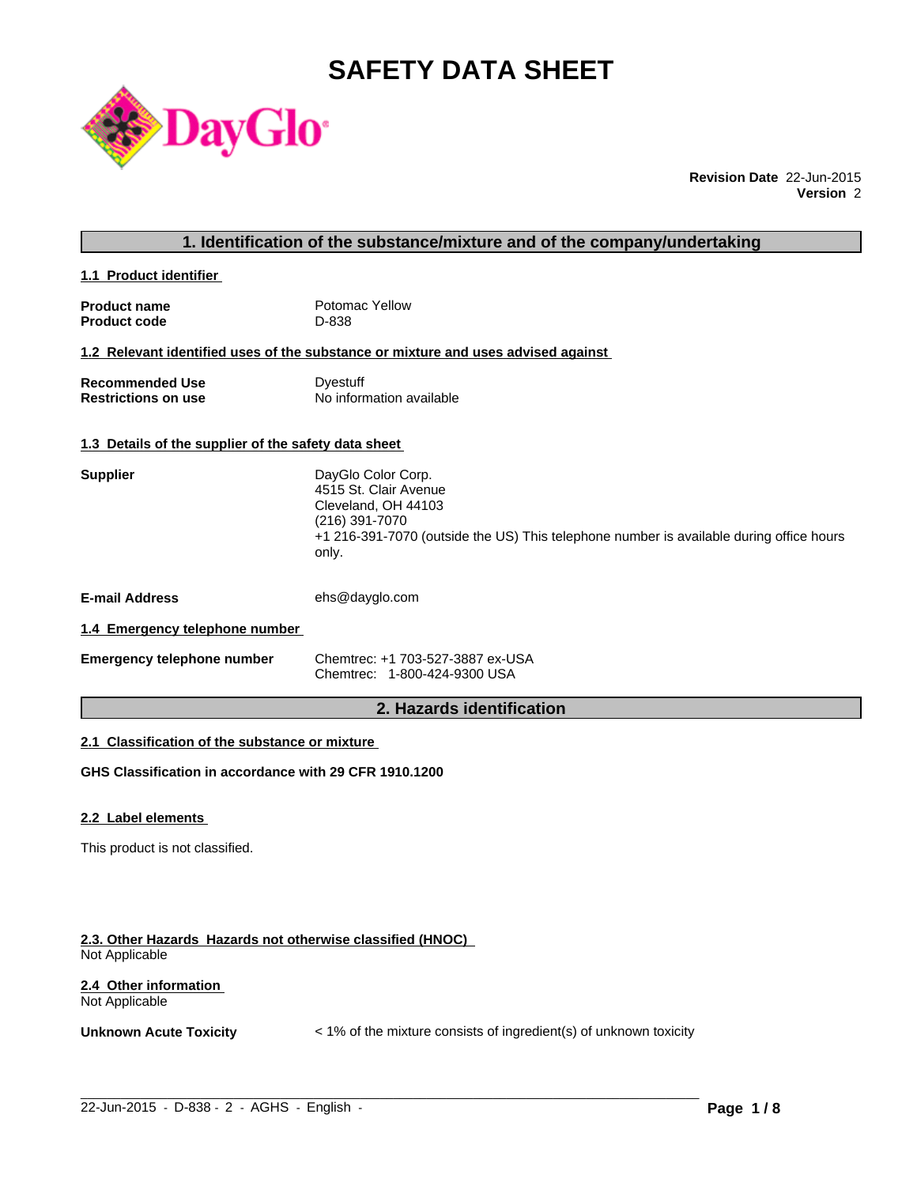# **SAFETY DATA SHEET**



**Revision Date** 22-Jun-2015 **Version** 2

### **1. Identification of the substance/mixture and of the company/undertaking**

**1.1 Product identifier** 

| <b>Product name</b> | Potomac Yellow |
|---------------------|----------------|
| <b>Product code</b> | D-838          |

#### **1.2 Relevant identified uses of the substance or mixture and uses advised against**

| <b>Recommended Use</b>     | Dyestuff                 |
|----------------------------|--------------------------|
| <b>Restrictions on use</b> | No information available |

### **1.3 Details of the supplier of the safety data sheet**

| <b>Supplier</b>       | DayGlo Color Corp.<br>4515 St. Clair Avenue<br>Cleveland, OH 44103<br>(216) 391-7070<br>+1 216-391-7070 (outside the US) This telephone number is available during office hours<br>only. |
|-----------------------|------------------------------------------------------------------------------------------------------------------------------------------------------------------------------------------|
| <b>E-mail Address</b> | ehs@dayglo.com                                                                                                                                                                           |
| .                     |                                                                                                                                                                                          |

### **1.4 Emergency telephone number**

| <b>Emergency telephone number</b> | Chemtrec: +1 703-527-3887 ex-USA |
|-----------------------------------|----------------------------------|
|                                   | Chemtrec: 1-800-424-9300 USA     |

### **2. Hazards identification**

### **2.1 Classification of the substance or mixture**

**GHS Classification in accordance with 29 CFR 1910.1200**

#### **2.2 Label elements**

This product is not classified.

#### **2.3. Other Hazards Hazards not otherwise classified (HNOC)**  Not Applicable

### **2.4 Other information**  Not Applicable

**Unknown Acute Toxicity**  $\lt$  1% of the mixture consists of ingredient(s) of unknown toxicity

 $\_$  ,  $\_$  ,  $\_$  ,  $\_$  ,  $\_$  ,  $\_$  ,  $\_$  ,  $\_$  ,  $\_$  ,  $\_$  ,  $\_$  ,  $\_$  ,  $\_$  ,  $\_$  ,  $\_$  ,  $\_$  ,  $\_$  ,  $\_$  ,  $\_$  ,  $\_$  ,  $\_$  ,  $\_$  ,  $\_$  ,  $\_$  ,  $\_$  ,  $\_$  ,  $\_$  ,  $\_$  ,  $\_$  ,  $\_$  ,  $\_$  ,  $\_$  ,  $\_$  ,  $\_$  ,  $\_$  ,  $\_$  ,  $\_$  ,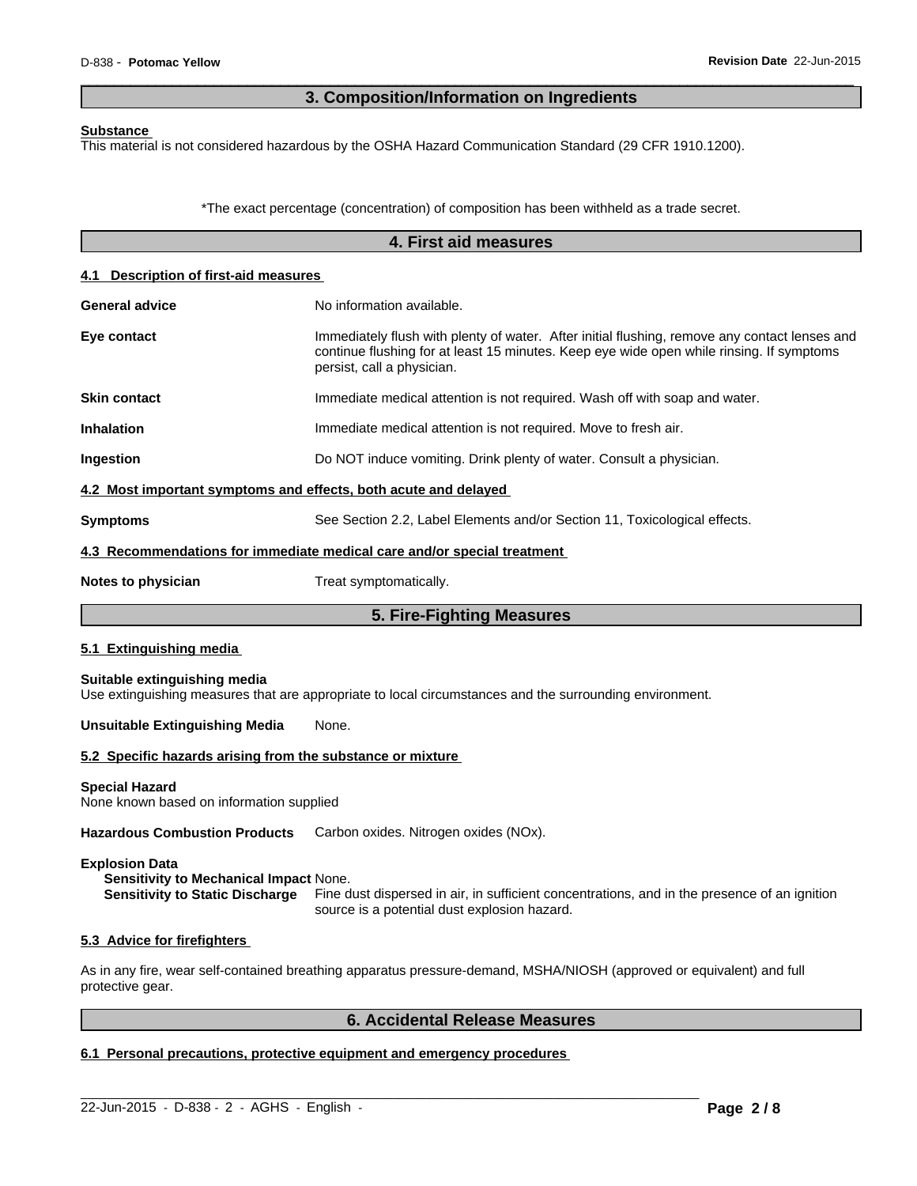### **3. Composition/Information on Ingredients**

 $\overline{\phantom{a}}$  ,  $\overline{\phantom{a}}$  ,  $\overline{\phantom{a}}$  ,  $\overline{\phantom{a}}$  ,  $\overline{\phantom{a}}$  ,  $\overline{\phantom{a}}$  ,  $\overline{\phantom{a}}$  ,  $\overline{\phantom{a}}$  ,  $\overline{\phantom{a}}$  ,  $\overline{\phantom{a}}$  ,  $\overline{\phantom{a}}$  ,  $\overline{\phantom{a}}$  ,  $\overline{\phantom{a}}$  ,  $\overline{\phantom{a}}$  ,  $\overline{\phantom{a}}$  ,  $\overline{\phantom{a}}$ 

#### **Substance**

This material is not considered hazardous by the OSHA Hazard Communication Standard (29 CFR 1910.1200).

\*The exact percentage (concentration) of composition has been withheld as a trade secret.

| 4. First aid measures                                           |                                                                                                                                                                                                                         |  |
|-----------------------------------------------------------------|-------------------------------------------------------------------------------------------------------------------------------------------------------------------------------------------------------------------------|--|
| 4.1 Description of first-aid measures                           |                                                                                                                                                                                                                         |  |
| <b>General advice</b>                                           | No information available.                                                                                                                                                                                               |  |
| Eye contact                                                     | Immediately flush with plenty of water. After initial flushing, remove any contact lenses and<br>continue flushing for at least 15 minutes. Keep eye wide open while rinsing. If symptoms<br>persist, call a physician. |  |
| <b>Skin contact</b>                                             | Immediate medical attention is not required. Wash off with soap and water.                                                                                                                                              |  |
| <b>Inhalation</b>                                               | Immediate medical attention is not required. Move to fresh air.                                                                                                                                                         |  |
| Ingestion                                                       | Do NOT induce vomiting. Drink plenty of water. Consult a physician.                                                                                                                                                     |  |
| 4.2 Most important symptoms and effects, both acute and delayed |                                                                                                                                                                                                                         |  |
| <b>Symptoms</b>                                                 | See Section 2.2, Label Elements and/or Section 11, Toxicological effects.                                                                                                                                               |  |
|                                                                 | 4.3 Recommendations for immediate medical care and/or special treatment                                                                                                                                                 |  |
| <b>Notes to physician</b>                                       | Treat symptomatically.                                                                                                                                                                                                  |  |
|                                                                 | 5. Fire-Fighting Measures                                                                                                                                                                                               |  |
| 5.1 Extinguishing media                                         |                                                                                                                                                                                                                         |  |
| Suitable extinguishing media                                    | Use extinguishing measures that are appropriate to local circumstances and the surrounding environment.                                                                                                                 |  |
| <b>Unsuitable Extinguishing Media</b>                           | None.                                                                                                                                                                                                                   |  |
| 5.2 Specific hazards arising from the substance or mixture      |                                                                                                                                                                                                                         |  |
| Special Hazard<br>None known based on information supplied      |                                                                                                                                                                                                                         |  |
| <b>Hazardous Combustion Products</b>                            | Carbon oxides. Nitrogen oxides (NOx).                                                                                                                                                                                   |  |
| <b>Explosion Data</b><br>Sensitivity to Mechanical Impact None. |                                                                                                                                                                                                                         |  |

**Sensitivity to Static Discharge** Fine dust dispersed in air, in sufficient concentrations, and in the presence of an ignition source is a potential dust explosion hazard.

#### **5.3 Advice for firefighters**

As in any fire, wear self-contained breathing apparatus pressure-demand, MSHA/NIOSH (approved or equivalent) and full protective gear.

 $\_$  ,  $\_$  ,  $\_$  ,  $\_$  ,  $\_$  ,  $\_$  ,  $\_$  ,  $\_$  ,  $\_$  ,  $\_$  ,  $\_$  ,  $\_$  ,  $\_$  ,  $\_$  ,  $\_$  ,  $\_$  ,  $\_$  ,  $\_$  ,  $\_$  ,  $\_$  ,  $\_$  ,  $\_$  ,  $\_$  ,  $\_$  ,  $\_$  ,  $\_$  ,  $\_$  ,  $\_$  ,  $\_$  ,  $\_$  ,  $\_$  ,  $\_$  ,  $\_$  ,  $\_$  ,  $\_$  ,  $\_$  ,  $\_$  ,

### **6. Accidental Release Measures**

### **6.1 Personal precautions, protective equipment and emergency procedures**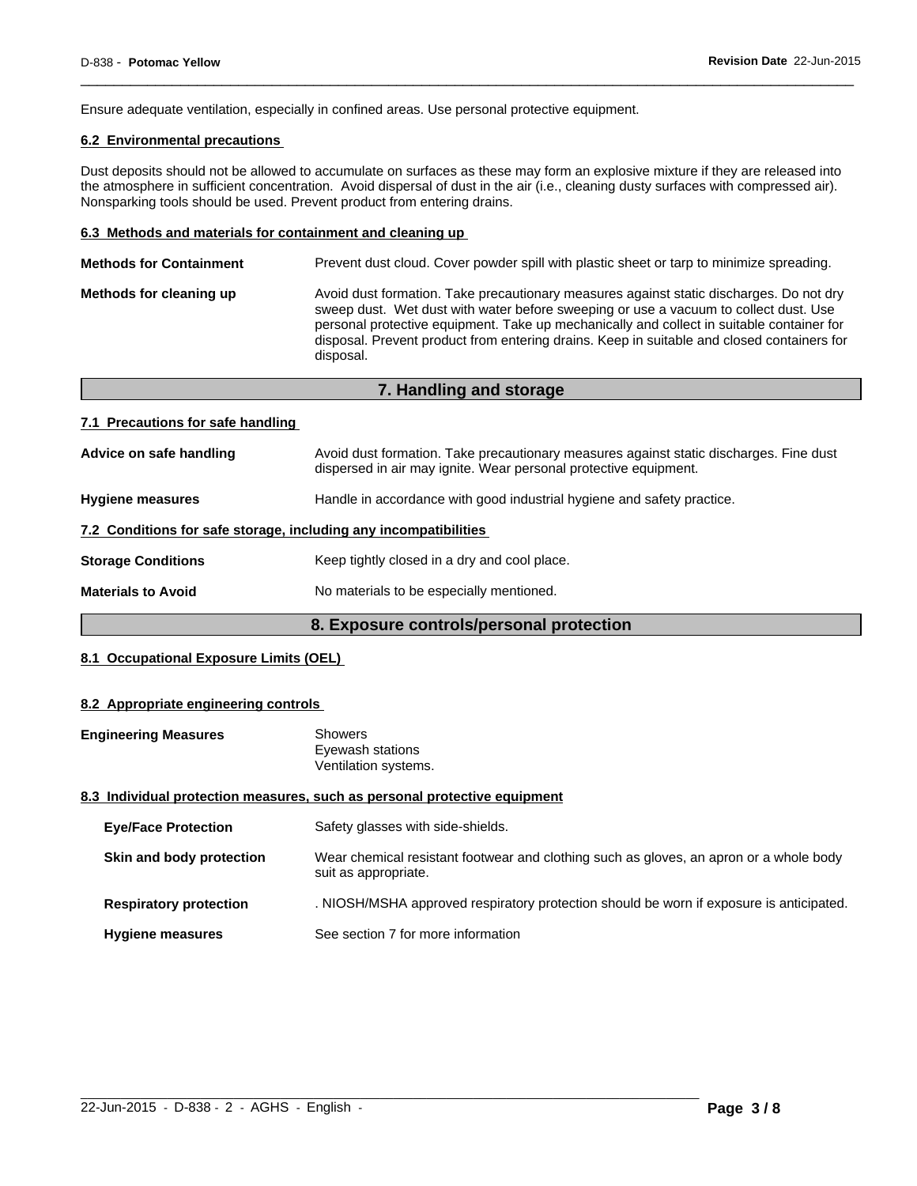Ensure adequate ventilation, especially in confined areas. Use personal protective equipment.

### **6.2 Environmental precautions**

Dust deposits should not be allowed to accumulate on surfaces as these may form an explosive mixture if they are released into the atmosphere in sufficient concentration. Avoid dispersal of dust in the air (i.e., cleaning dusty surfaces with compressed air). Nonsparking tools should be used. Prevent product from entering drains.

 $\overline{\phantom{a}}$  ,  $\overline{\phantom{a}}$  ,  $\overline{\phantom{a}}$  ,  $\overline{\phantom{a}}$  ,  $\overline{\phantom{a}}$  ,  $\overline{\phantom{a}}$  ,  $\overline{\phantom{a}}$  ,  $\overline{\phantom{a}}$  ,  $\overline{\phantom{a}}$  ,  $\overline{\phantom{a}}$  ,  $\overline{\phantom{a}}$  ,  $\overline{\phantom{a}}$  ,  $\overline{\phantom{a}}$  ,  $\overline{\phantom{a}}$  ,  $\overline{\phantom{a}}$  ,  $\overline{\phantom{a}}$ 

#### **6.3 Methods and materials for containment and cleaning up**

| <b>Methods for Containment</b> | Prevent dust cloud. Cover powder spill with plastic sheet or tarp to minimize spreading.                                                                                                                                                                                                                                                                                                |
|--------------------------------|-----------------------------------------------------------------------------------------------------------------------------------------------------------------------------------------------------------------------------------------------------------------------------------------------------------------------------------------------------------------------------------------|
| Methods for cleaning up        | Avoid dust formation. Take precautionary measures against static discharges. Do not dry<br>sweep dust. Wet dust with water before sweeping or use a vacuum to collect dust. Use<br>personal protective equipment. Take up mechanically and collect in suitable container for<br>disposal. Prevent product from entering drains. Keep in suitable and closed containers for<br>disposal. |
|                                |                                                                                                                                                                                                                                                                                                                                                                                         |

**7. Handling and storage**

|                                                                  | 7. Handling and storage                                                                                                                                    |
|------------------------------------------------------------------|------------------------------------------------------------------------------------------------------------------------------------------------------------|
| 7.1 Precautions for safe handling                                |                                                                                                                                                            |
| Advice on safe handling                                          | Avoid dust formation. Take precautionary measures against static discharges. Fine dust<br>dispersed in air may ignite. Wear personal protective equipment. |
| <b>Hygiene measures</b>                                          | Handle in accordance with good industrial hygiene and safety practice.                                                                                     |
| 7.2 Conditions for safe storage, including any incompatibilities |                                                                                                                                                            |
| <b>Storage Conditions</b>                                        | Keep tightly closed in a dry and cool place.                                                                                                               |
| <b>Materials to Avoid</b>                                        | No materials to be especially mentioned.                                                                                                                   |

### **8. Exposure controls/personal protection**

### **8.1 Occupational Exposure Limits (OEL)**

#### **8.2 Appropriate engineering controls**

| <b>Engineering Measures</b> | <b>Showers</b>                                                            |
|-----------------------------|---------------------------------------------------------------------------|
|                             | Eyewash stations                                                          |
|                             | Ventilation systems.                                                      |
|                             | 8.3 Individual protection measures, such as nersonal protective equipment |

### sures, such as personal protective equipment

| <b>Eye/Face Protection</b>    | Safety glasses with side-shields.                                                                              |
|-------------------------------|----------------------------------------------------------------------------------------------------------------|
| Skin and body protection      | Wear chemical resistant footwear and clothing such as gloves, an apron or a whole body<br>suit as appropriate. |
| <b>Respiratory protection</b> | . NIOSH/MSHA approved respiratory protection should be worn if exposure is anticipated.                        |
| <b>Hygiene measures</b>       | See section 7 for more information                                                                             |

 $\_$  ,  $\_$  ,  $\_$  ,  $\_$  ,  $\_$  ,  $\_$  ,  $\_$  ,  $\_$  ,  $\_$  ,  $\_$  ,  $\_$  ,  $\_$  ,  $\_$  ,  $\_$  ,  $\_$  ,  $\_$  ,  $\_$  ,  $\_$  ,  $\_$  ,  $\_$  ,  $\_$  ,  $\_$  ,  $\_$  ,  $\_$  ,  $\_$  ,  $\_$  ,  $\_$  ,  $\_$  ,  $\_$  ,  $\_$  ,  $\_$  ,  $\_$  ,  $\_$  ,  $\_$  ,  $\_$  ,  $\_$  ,  $\_$  ,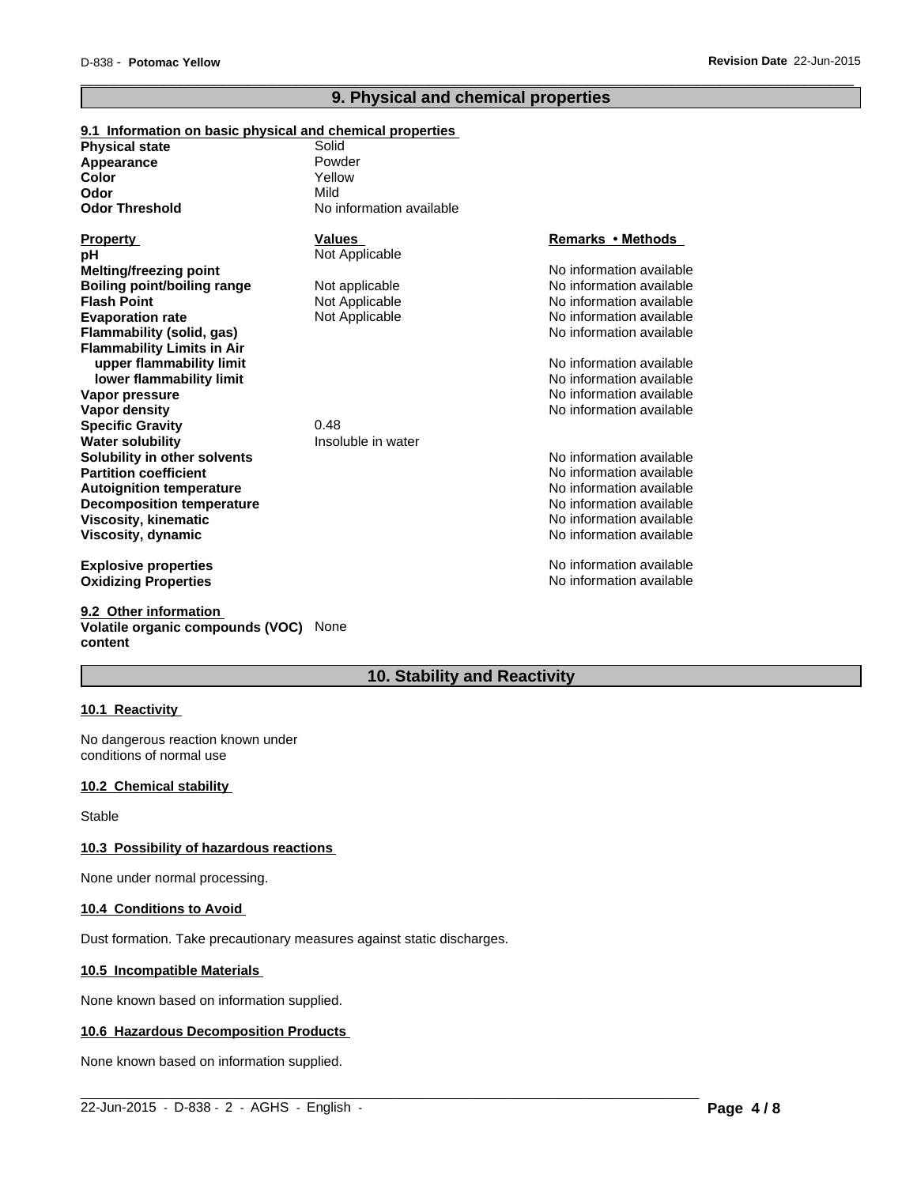### **9. Physical and chemical properties**

 $\overline{\phantom{a}}$  ,  $\overline{\phantom{a}}$  ,  $\overline{\phantom{a}}$  ,  $\overline{\phantom{a}}$  ,  $\overline{\phantom{a}}$  ,  $\overline{\phantom{a}}$  ,  $\overline{\phantom{a}}$  ,  $\overline{\phantom{a}}$  ,  $\overline{\phantom{a}}$  ,  $\overline{\phantom{a}}$  ,  $\overline{\phantom{a}}$  ,  $\overline{\phantom{a}}$  ,  $\overline{\phantom{a}}$  ,  $\overline{\phantom{a}}$  ,  $\overline{\phantom{a}}$  ,  $\overline{\phantom{a}}$ 

| 9.1 Information on basic physical and chemical properties |                          |                          |
|-----------------------------------------------------------|--------------------------|--------------------------|
| <b>Physical state</b>                                     | Solid                    |                          |
| Appearance                                                | Powder                   |                          |
| Color                                                     | Yellow                   |                          |
| Odor                                                      | Mild                     |                          |
| <b>Odor Threshold</b>                                     | No information available |                          |
| <b>Property</b>                                           | <b>Values</b>            | <b>Remarks • Methods</b> |
| pН                                                        | Not Applicable           |                          |
| <b>Melting/freezing point</b>                             |                          | No information available |
| <b>Boiling point/boiling range</b>                        | Not applicable           | No information available |
| <b>Flash Point</b>                                        | Not Applicable           | No information available |
| <b>Evaporation rate</b>                                   | Not Applicable           | No information available |
| Flammability (solid, gas)                                 |                          | No information available |
| <b>Flammability Limits in Air</b>                         |                          |                          |
| upper flammability limit                                  |                          | No information available |
| lower flammability limit                                  |                          | No information available |
| Vapor pressure                                            |                          | No information available |
| Vapor density                                             |                          | No information available |
| <b>Specific Gravity</b>                                   | 0.48                     |                          |
| <b>Water solubility</b>                                   | Insoluble in water       |                          |
| Solubility in other solvents                              |                          | No information available |
| <b>Partition coefficient</b>                              |                          | No information available |
| <b>Autoignition temperature</b>                           |                          | No information available |
| <b>Decomposition temperature</b>                          |                          | No information available |
| <b>Viscosity, kinematic</b>                               |                          | No information available |
| Viscosity, dynamic                                        |                          | No information available |
| <b>Explosive properties</b>                               |                          | No information available |
| <b>Oxidizing Properties</b>                               |                          | No information available |

**9.2 Other information Volatile organic compounds (VOC)** None **content**

## **10. Stability and Reactivity**

 $\_$  ,  $\_$  ,  $\_$  ,  $\_$  ,  $\_$  ,  $\_$  ,  $\_$  ,  $\_$  ,  $\_$  ,  $\_$  ,  $\_$  ,  $\_$  ,  $\_$  ,  $\_$  ,  $\_$  ,  $\_$  ,  $\_$  ,  $\_$  ,  $\_$  ,  $\_$  ,  $\_$  ,  $\_$  ,  $\_$  ,  $\_$  ,  $\_$  ,  $\_$  ,  $\_$  ,  $\_$  ,  $\_$  ,  $\_$  ,  $\_$  ,  $\_$  ,  $\_$  ,  $\_$  ,  $\_$  ,  $\_$  ,  $\_$  ,

### **10.1 Reactivity**

No dangerous reaction known under conditions of normal use

#### **10.2 Chemical stability**

Stable

### **10.3 Possibility of hazardous reactions**

None under normal processing.

#### **10.4 Conditions to Avoid**

Dust formation. Take precautionary measures against static discharges.

#### **10.5 Incompatible Materials**

None known based on information supplied.

#### **10.6 Hazardous Decomposition Products**

None known based on information supplied.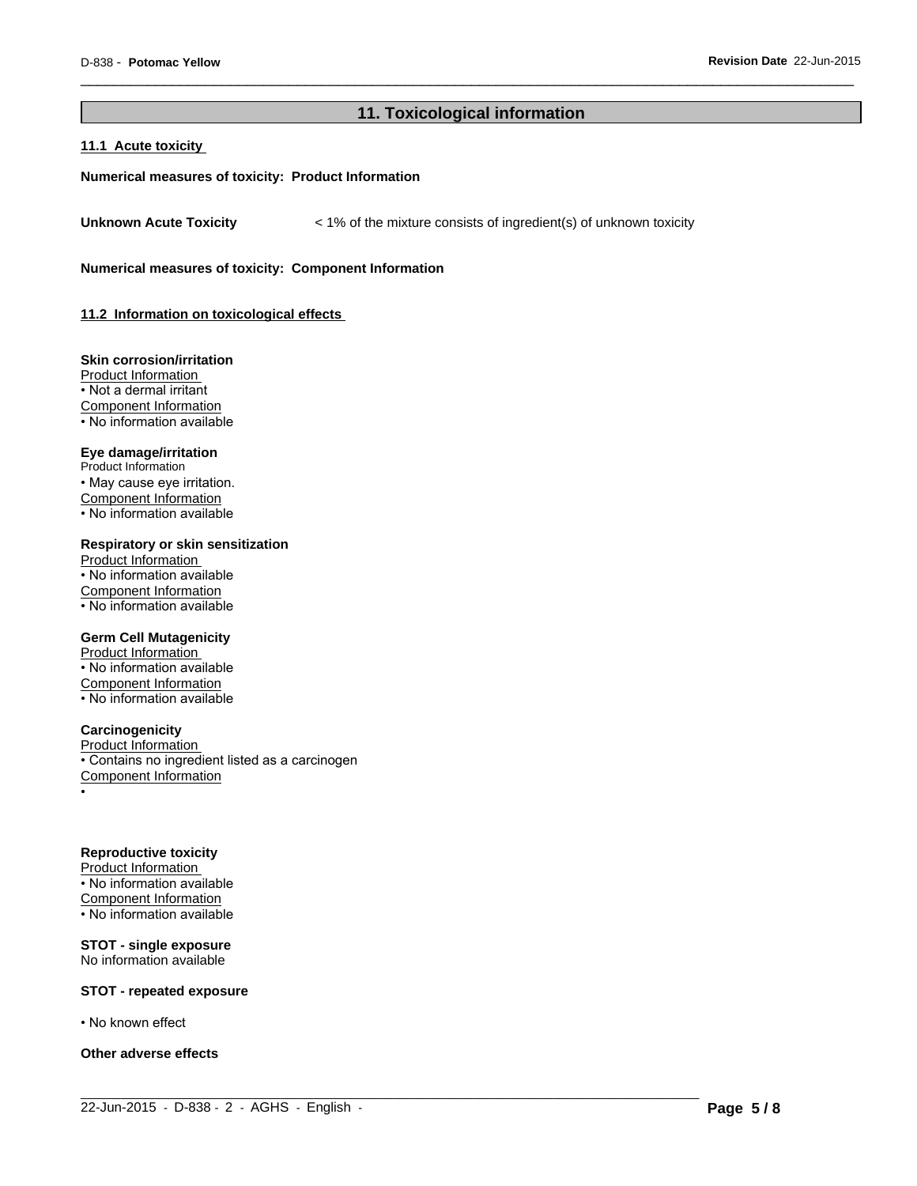### **11. Toxicological information**

 $\_$  ,  $\_$  ,  $\_$  ,  $\_$  ,  $\_$  ,  $\_$  ,  $\_$  ,  $\_$  ,  $\_$  ,  $\_$  ,  $\_$  ,  $\_$  ,  $\_$  ,  $\_$  ,  $\_$  ,  $\_$  ,  $\_$  ,  $\_$  ,  $\_$  ,  $\_$  ,  $\_$  ,  $\_$  ,  $\_$  ,  $\_$  ,  $\_$  ,  $\_$  ,  $\_$  ,  $\_$  ,  $\_$  ,  $\_$  ,  $\_$  ,  $\_$  ,  $\_$  ,  $\_$  ,  $\_$  ,  $\_$  ,  $\_$  ,

 $\overline{\phantom{a}}$  ,  $\overline{\phantom{a}}$  ,  $\overline{\phantom{a}}$  ,  $\overline{\phantom{a}}$  ,  $\overline{\phantom{a}}$  ,  $\overline{\phantom{a}}$  ,  $\overline{\phantom{a}}$  ,  $\overline{\phantom{a}}$  ,  $\overline{\phantom{a}}$  ,  $\overline{\phantom{a}}$  ,  $\overline{\phantom{a}}$  ,  $\overline{\phantom{a}}$  ,  $\overline{\phantom{a}}$  ,  $\overline{\phantom{a}}$  ,  $\overline{\phantom{a}}$  ,  $\overline{\phantom{a}}$ 

#### **11.1 Acute toxicity**

#### **Numerical measures of toxicity: Product Information**

**Unknown Acute Toxicity** < 1% of the mixture consists of ingredient(s) of unknown toxicity

**Numerical measures of toxicity: Component Information**

**11.2 Information on toxicological effects** 

#### **Skin corrosion/irritation**

Product Information • Not a dermal irritant Component Information • No information available

### **Eye damage/irritation**

Product Information • May cause eye irritation. Component Information • No information available

#### **Respiratory or skin sensitization**

Product Information • No information available Component Information • No information available

#### **Germ Cell Mutagenicity**

Product Information • No information available Component Information • No information available

#### **Carcinogenicity**

Product Information • Contains no ingredient listed as a carcinogen Component Information •

#### **Reproductive toxicity**

Product Information • No information available Component Information  $\cdot$  No information available

#### **STOT - single exposure** No information available

#### **STOT - repeated exposure**

• No known effect

#### **Other adverse effects**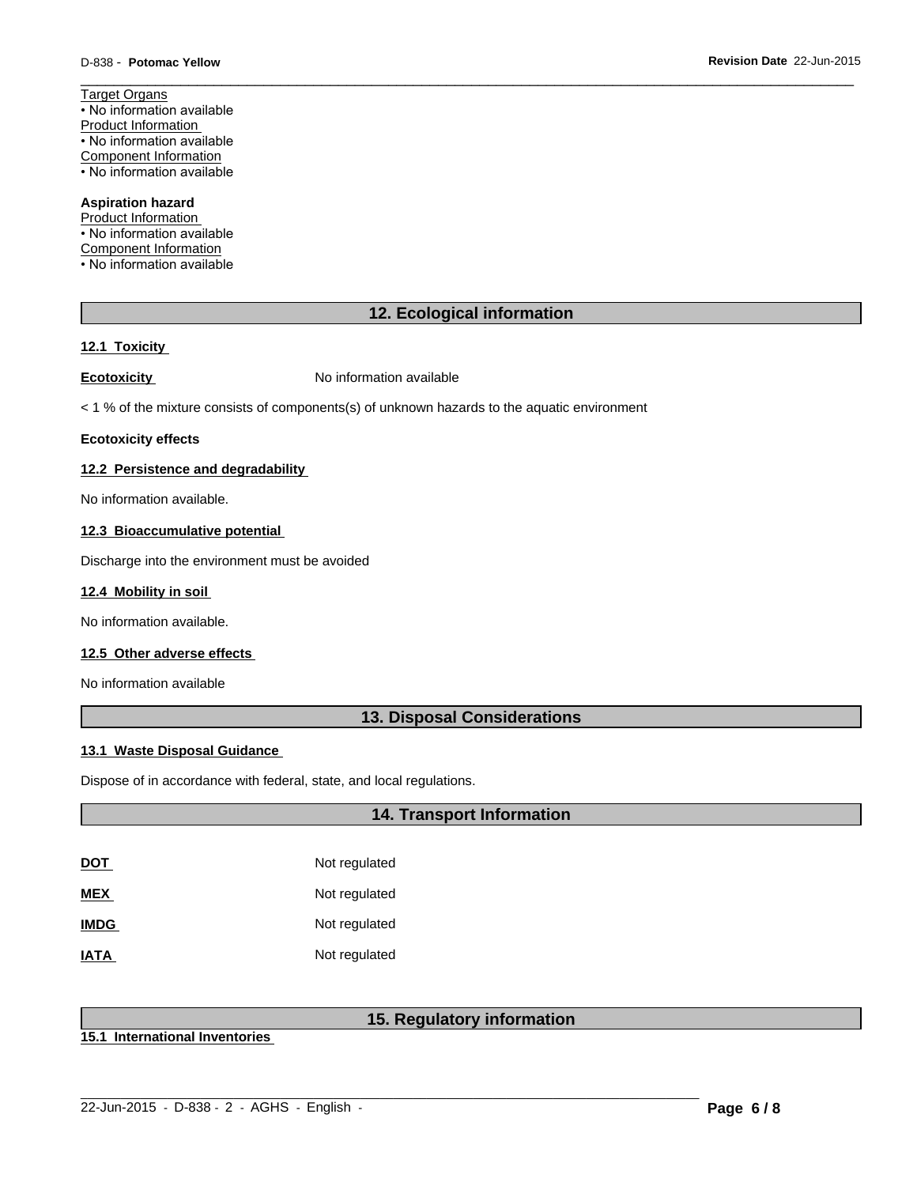Target Organs • No information available Product Information • No information available Component Information • No information available

### **Aspiration hazard**

Product Information • No information available Component Information • No information available

### **12. Ecological information**

 $\overline{\phantom{a}}$  ,  $\overline{\phantom{a}}$  ,  $\overline{\phantom{a}}$  ,  $\overline{\phantom{a}}$  ,  $\overline{\phantom{a}}$  ,  $\overline{\phantom{a}}$  ,  $\overline{\phantom{a}}$  ,  $\overline{\phantom{a}}$  ,  $\overline{\phantom{a}}$  ,  $\overline{\phantom{a}}$  ,  $\overline{\phantom{a}}$  ,  $\overline{\phantom{a}}$  ,  $\overline{\phantom{a}}$  ,  $\overline{\phantom{a}}$  ,  $\overline{\phantom{a}}$  ,  $\overline{\phantom{a}}$ 

#### **12.1 Toxicity**

**Ecotoxicity No information available** 

< 1 % of the mixture consists of components(s) of unknown hazards to the aquatic environment

#### **Ecotoxicity effects**

### **12.2 Persistence and degradability**

No information available.

#### **12.3 Bioaccumulative potential**

Discharge into the environment must be avoided

#### **12.4 Mobility in soil**

No information available.

### **12.5 Other adverse effects**

No information available

### **13. Disposal Considerations**

#### **13.1 Waste Disposal Guidance**

Dispose of in accordance with federal, state, and local regulations.

### **14. Transport Information**

| DOT         | Not regulated |
|-------------|---------------|
| <b>MEX</b>  | Not regulated |
| <b>IMDG</b> | Not regulated |
| <b>IATA</b> | Not regulated |

### **15. Regulatory information**

 $\_$  ,  $\_$  ,  $\_$  ,  $\_$  ,  $\_$  ,  $\_$  ,  $\_$  ,  $\_$  ,  $\_$  ,  $\_$  ,  $\_$  ,  $\_$  ,  $\_$  ,  $\_$  ,  $\_$  ,  $\_$  ,  $\_$  ,  $\_$  ,  $\_$  ,  $\_$  ,  $\_$  ,  $\_$  ,  $\_$  ,  $\_$  ,  $\_$  ,  $\_$  ,  $\_$  ,  $\_$  ,  $\_$  ,  $\_$  ,  $\_$  ,  $\_$  ,  $\_$  ,  $\_$  ,  $\_$  ,  $\_$  ,  $\_$  ,

**15.1 International Inventories**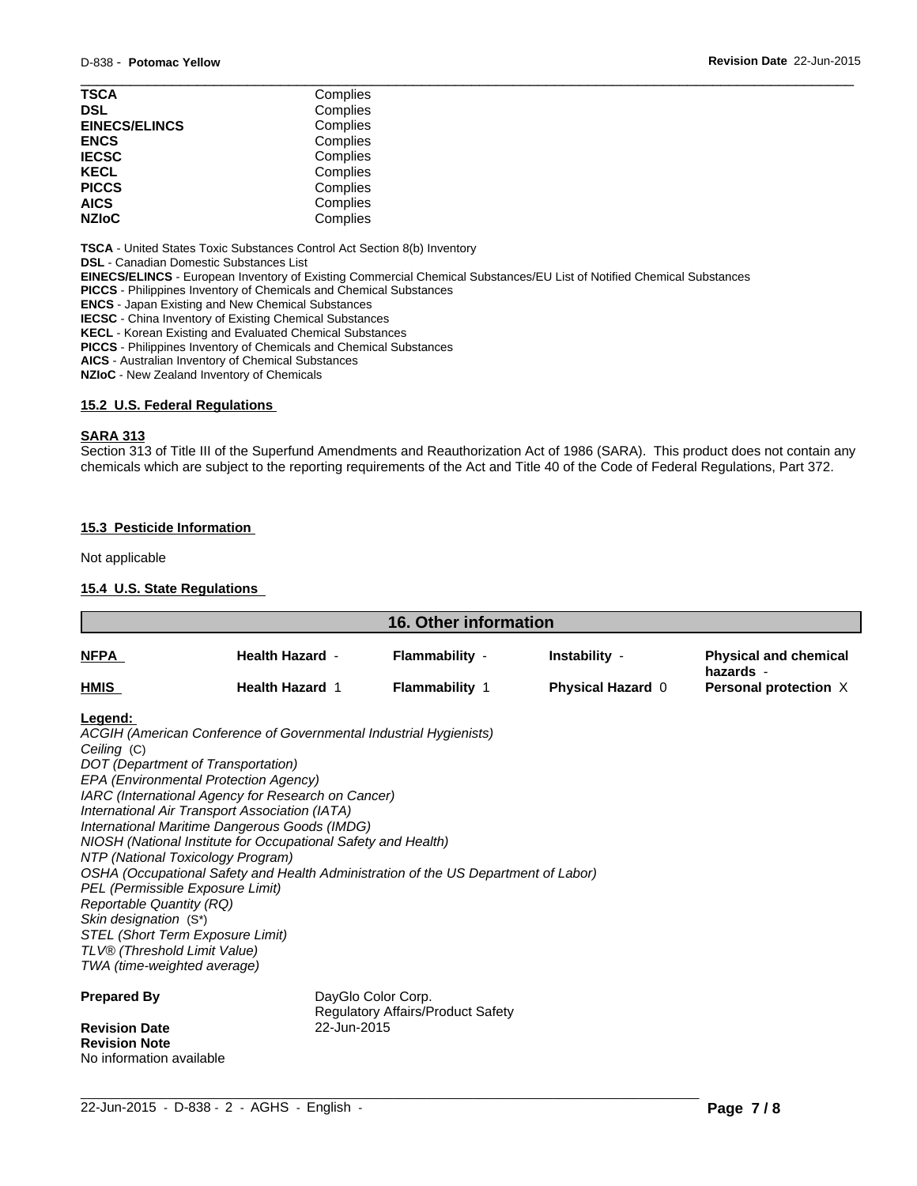| <b>TSCA</b>          | Complies |  |
|----------------------|----------|--|
| <b>DSL</b>           | Complies |  |
| <b>EINECS/ELINCS</b> | Complies |  |
| <b>ENCS</b>          | Complies |  |
| <b>IECSC</b>         | Complies |  |
| <b>KECL</b>          | Complies |  |
| <b>PICCS</b>         | Complies |  |
| <b>AICS</b>          | Complies |  |
| <b>NZIoC</b>         | Complies |  |
|                      |          |  |

**TSCA** - United States Toxic Substances Control Act Section 8(b) Inventory

**DSL** - Canadian Domestic Substances List

**EINECS/ELINCS** - European Inventory of Existing Commercial Chemical Substances/EU List of Notified Chemical Substances

**PICCS** - Philippines Inventory of Chemicals and Chemical Substances

**ENCS** - Japan Existing and New Chemical Substances

**IECSC** - China Inventory of Existing Chemical Substances

**KECL** - Korean Existing and Evaluated Chemical Substances

**PICCS** - Philippines Inventory of Chemicals and Chemical Substances

**AICS** - Australian Inventory of Chemical Substances

**NZIoC** - New Zealand Inventory of Chemicals

#### **15.2 U.S. Federal Regulations**

#### **SARA 313**

Section 313 of Title III of the Superfund Amendments and Reauthorization Act of 1986 (SARA). This product does not contain any chemicals which are subject to the reporting requirements of the Act and Title 40 of the Code of Federal Regulations, Part 372.

### **15.3 Pesticide Information**

Not applicable

### **15.4 U.S. State Regulations**

| <u>NFPA</u>                                                                                                                                                                                                                                                                                                                                                                                                                                                                                                                                                                                                                                                                                                                        |                                                  |                                         |                                    |                                                                    |
|------------------------------------------------------------------------------------------------------------------------------------------------------------------------------------------------------------------------------------------------------------------------------------------------------------------------------------------------------------------------------------------------------------------------------------------------------------------------------------------------------------------------------------------------------------------------------------------------------------------------------------------------------------------------------------------------------------------------------------|--------------------------------------------------|-----------------------------------------|------------------------------------|--------------------------------------------------------------------|
|                                                                                                                                                                                                                                                                                                                                                                                                                                                                                                                                                                                                                                                                                                                                    | <b>Health Hazard -</b><br><b>Health Hazard 1</b> | Flammability -<br><b>Flammability 1</b> | Instability -<br>Physical Hazard 0 | <b>Physical and chemical</b><br>hazards -<br>Personal protection X |
| HMIS                                                                                                                                                                                                                                                                                                                                                                                                                                                                                                                                                                                                                                                                                                                               |                                                  |                                         |                                    |                                                                    |
| Legend:<br>ACGIH (American Conference of Governmental Industrial Hygienists)<br>Ceiling (C)<br>DOT (Department of Transportation)<br>EPA (Environmental Protection Agency)<br>IARC (International Agency for Research on Cancer)<br>International Air Transport Association (IATA)<br>International Maritime Dangerous Goods (IMDG)<br>NIOSH (National Institute for Occupational Safety and Health)<br>NTP (National Toxicology Program)<br>OSHA (Occupational Safety and Health Administration of the US Department of Labor)<br>PEL (Permissible Exposure Limit)<br><b>Reportable Quantity (RQ)</b><br>Skin designation (S*)<br>STEL (Short Term Exposure Limit)<br>TLV® (Threshold Limit Value)<br>TWA (time-weighted average) |                                                  |                                         |                                    |                                                                    |
| <b>Prepared By</b><br><b>Revision Date</b><br><b>Revision Note</b>                                                                                                                                                                                                                                                                                                                                                                                                                                                                                                                                                                                                                                                                 | DayGlo Color Corp.<br>22-Jun-2015                | Regulatory Affairs/Product Safety       |                                    |                                                                    |

 $\_$  ,  $\_$  ,  $\_$  ,  $\_$  ,  $\_$  ,  $\_$  ,  $\_$  ,  $\_$  ,  $\_$  ,  $\_$  ,  $\_$  ,  $\_$  ,  $\_$  ,  $\_$  ,  $\_$  ,  $\_$  ,  $\_$  ,  $\_$  ,  $\_$  ,  $\_$  ,  $\_$  ,  $\_$  ,  $\_$  ,  $\_$  ,  $\_$  ,  $\_$  ,  $\_$  ,  $\_$  ,  $\_$  ,  $\_$  ,  $\_$  ,  $\_$  ,  $\_$  ,  $\_$  ,  $\_$  ,  $\_$  ,  $\_$  , 22-Jun-2015 - D-838 - 2 - AGHS - English - **Page 7 / 8**

No information available